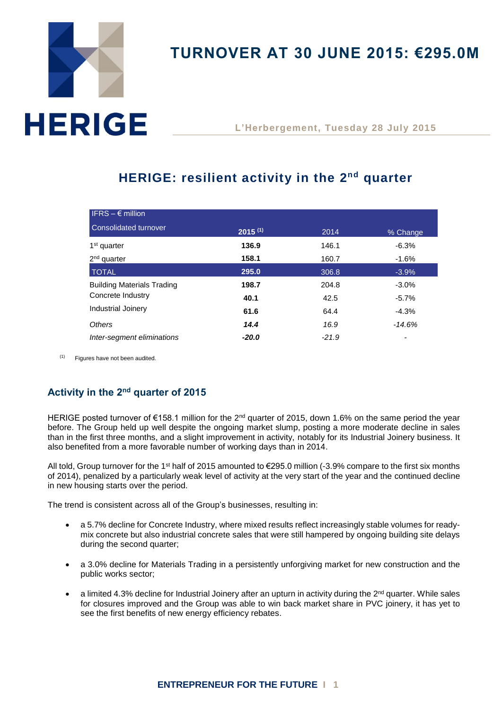

# **TURNOVER AT 30 JUNE 2015: €295.0M**

**L'Herbergement, Tuesday 28 July 2015**

## **HERIGE: resilient activity in the 2 nd quarter**

| IFRS $- \epsilon$ million         |              |         |          |
|-----------------------------------|--------------|---------|----------|
| Consolidated turnover             | $2015^{(1)}$ | 2014    | % Change |
| 1 <sup>st</sup> quarter           | 136.9        | 146.1   | $-6.3%$  |
| $2nd$ quarter                     | 158.1        | 160.7   | $-1.6\%$ |
| <b>TOTAL</b>                      | 295.0        | 306.8   | $-3.9%$  |
| <b>Building Materials Trading</b> | 198.7        | 204.8   | $-3.0\%$ |
| Concrete Industry                 | 40.1         | 42.5    | $-5.7%$  |
| Industrial Joinery                | 61.6         | 64.4    | $-4.3%$  |
| <b>Others</b>                     | 14.4         | 16.9    | $-14.6%$ |
| Inter-segment eliminations        | $-20.0$      | $-21.9$ | -        |

Figures have not been audited.

## **Activity in the 2nd quarter of 2015**

HERIGE posted turnover of €158.1 million for the 2<sup>nd</sup> quarter of 2015, down 1.6% on the same period the year before. The Group held up well despite the ongoing market slump, posting a more moderate decline in sales than in the first three months, and a slight improvement in activity, notably for its Industrial Joinery business. It also benefited from a more favorable number of working days than in 2014.

All told, Group turnover for the 1<sup>st</sup> half of 2015 amounted to €295.0 million (-3.9% compare to the first six months of 2014), penalized by a particularly weak level of activity at the very start of the year and the continued decline in new housing starts over the period.

The trend is consistent across all of the Group's businesses, resulting in:

- a 5.7% decline for Concrete Industry, where mixed results reflect increasingly stable volumes for readymix concrete but also industrial concrete sales that were still hampered by ongoing building site delays during the second quarter;
- a 3.0% decline for Materials Trading in a persistently unforgiving market for new construction and the public works sector;
- $\bullet$  a limited 4.3% decline for Industrial Joinery after an upturn in activity during the 2<sup>nd</sup> quarter. While sales for closures improved and the Group was able to win back market share in PVC joinery, it has yet to see the first benefits of new energy efficiency rebates.